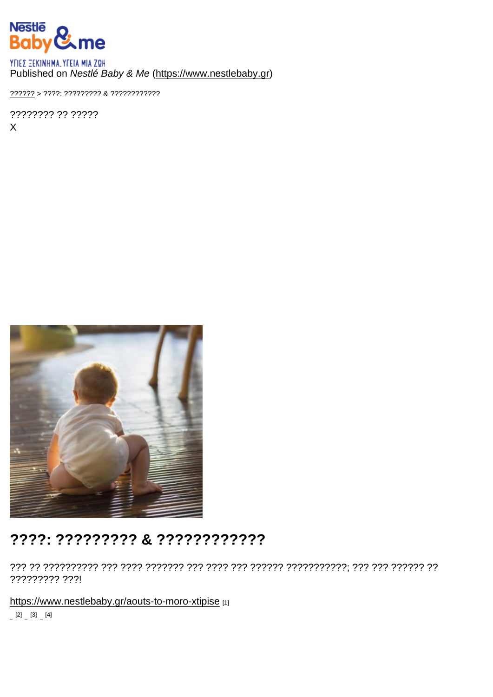## Published on Nestlé Baby & Me [\(https://www.nestlebaby.gr](https://www.nestlebaby.gr))

[??????](https://www.nestlebaby.gr/) > ????: ????????? & ????????????

???????? ?? ????? X

## ????: ????????? & ????????????

??? ?? ?????????? ??? ???? ??????? ??? ???? ??? ?????? ???????????; ??? ??? ?????? ?? ????????? ???!

<https://www.nestlebaby.gr/aouts-to-moro-xtipise> [1]

 $[2]$   $[3]$   $[4]$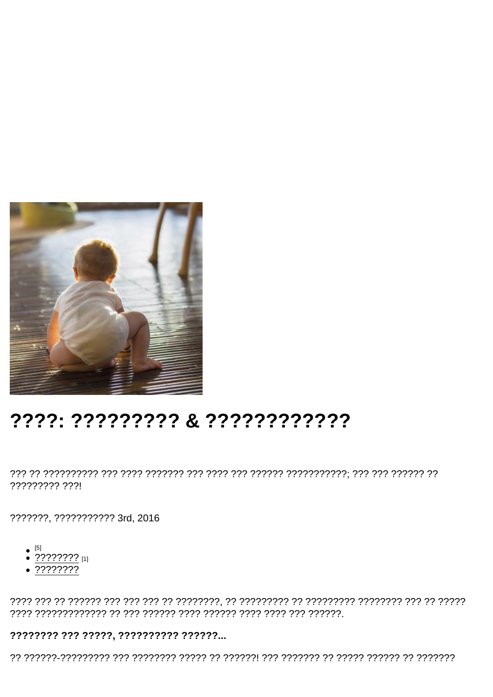## ????: ????????? & ????????????

????????? ???!

???????, ??????????? 3rd, 2016

- $[5]$
- $\frac{1}{2}$  ????????? [1]
- $\sqrt{???????}$

???????? ??? ?????, ?????????? ??????...